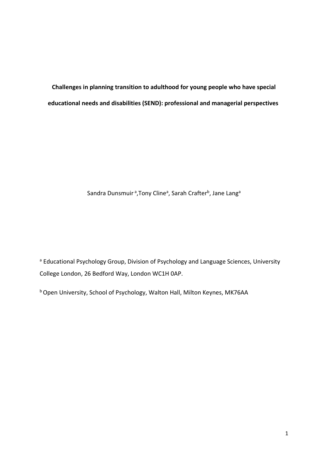**Challenges in planning transition to adulthood for young people who have special educational needs and disabilities (SEND): professional and managerial perspectives**

# Sandra Dunsmuir <sup>a</sup>,Tony Cline<sup>a</sup>, Sarah Crafter<sup>b</sup>, Jane Lang<sup>a</sup>

a Educational Psychology Group, Division of Psychology and Language Sciences, University College London, 26 Bedford Way, London WC1H 0AP.

b Open University, School of Psychology, Walton Hall, Milton Keynes, MK76AA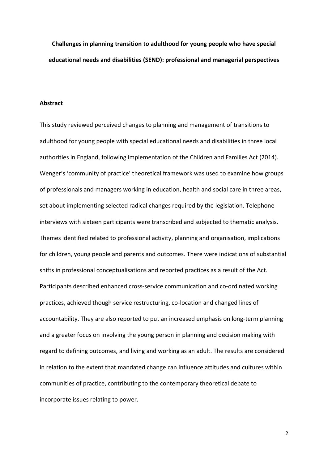**Challenges in planning transition to adulthood for young people who have special educational needs and disabilities (SEND): professional and managerial perspectives**

#### **Abstract**

This study reviewed perceived changes to planning and management of transitions to adulthood for young people with special educational needs and disabilities in three local authorities in England, following implementation of the Children and Families Act (2014). Wenger's 'community of practice' theoretical framework was used to examine how groups of professionals and managers working in education, health and social care in three areas, set about implementing selected radical changes required by the legislation. Telephone interviews with sixteen participants were transcribed and subjected to thematic analysis. Themes identified related to professional activity, planning and organisation, implications for children, young people and parents and outcomes. There were indications of substantial shifts in professional conceptualisations and reported practices as a result of the Act. Participants described enhanced cross-service communication and co-ordinated working practices, achieved though service restructuring, co-location and changed lines of accountability. They are also reported to put an increased emphasis on long-term planning and a greater focus on involving the young person in planning and decision making with regard to defining outcomes, and living and working as an adult. The results are considered in relation to the extent that mandated change can influence attitudes and cultures within communities of practice, contributing to the contemporary theoretical debate to incorporate issues relating to power.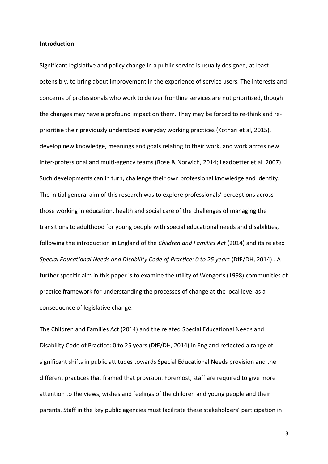#### **Introduction**

Significant legislative and policy change in a public service is usually designed, at least ostensibly, to bring about improvement in the experience of service users. The interests and concerns of professionals who work to deliver frontline services are not prioritised, though the changes may have a profound impact on them. They may be forced to re-think and reprioritise their previously understood everyday working practices (Kothari et al, 2015), develop new knowledge, meanings and goals relating to their work, and work across new inter-professional and multi-agency teams (Rose & Norwich, 2014; Leadbetter et al. 2007). Such developments can in turn, challenge their own professional knowledge and identity. The initial general aim of this research was to explore professionals' perceptions across those working in education, health and social care of the challenges of managing the transitions to adulthood for young people with special educational needs and disabilities, following the introduction in England of the *Children and Families Act* (2014) and its related *Special Educational Needs and Disability Code of Practice: 0 to 25 years* (DfE/DH, 2014).. A further specific aim in this paper is to examine the utility of Wenger's (1998) communities of practice framework for understanding the processes of change at the local level as a consequence of legislative change.

The Children and Families Act (2014) and the related Special Educational Needs and Disability Code of Practice: 0 to 25 years (DfE/DH, 2014) in England reflected a range of significant shifts in public attitudes towards Special Educational Needs provision and the different practices that framed that provision. Foremost, staff are required to give more attention to the views, wishes and feelings of the children and young people and their parents. Staff in the key public agencies must facilitate these stakeholders' participation in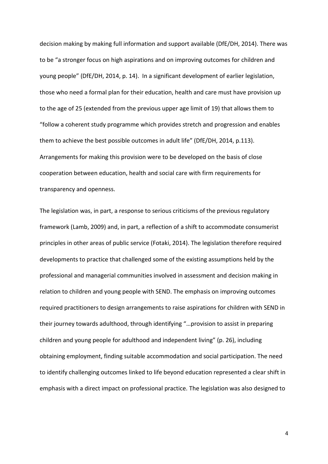decision making by making full information and support available (DfE/DH, 2014). There was to be "a stronger focus on high aspirations and on improving outcomes for children and young people" (DfE/DH, 2014, p. 14). In a significant development of earlier legislation, those who need a formal plan for their education, health and care must have provision up to the age of 25 (extended from the previous upper age limit of 19) that allows them to "follow a coherent study programme which provides stretch and progression and enables them to achieve the best possible outcomes in adult life" (DfE/DH, 2014, p.113). Arrangements for making this provision were to be developed on the basis of close cooperation between education, health and social care with firm requirements for transparency and openness.

The legislation was, in part, a response to serious criticisms of the previous regulatory framework (Lamb, 2009) and, in part, a reflection of a shift to accommodate consumerist principles in other areas of public service (Fotaki, 2014). The legislation therefore required developments to practice that challenged some of the existing assumptions held by the professional and managerial communities involved in assessment and decision making in relation to children and young people with SEND. The emphasis on improving outcomes required practitioners to design arrangements to raise aspirations for children with SEND in their journey towards adulthood, through identifying "…provision to assist in preparing children and young people for adulthood and independent living" (p. 26), including obtaining employment, finding suitable accommodation and social participation. The need to identify challenging outcomes linked to life beyond education represented a clear shift in emphasis with a direct impact on professional practice. The legislation was also designed to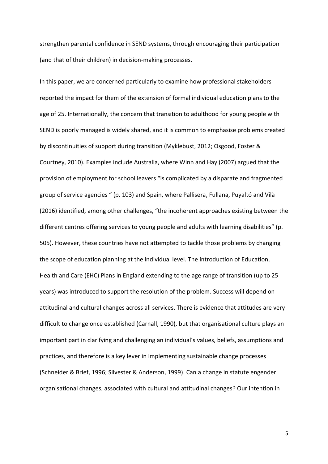strengthen parental confidence in SEND systems, through encouraging their participation (and that of their children) in decision-making processes.

In this paper, we are concerned particularly to examine how professional stakeholders reported the impact for them of the extension of formal individual education plans to the age of 25. Internationally, the concern that transition to adulthood for young people with SEND is poorly managed is widely shared, and it is common to emphasise problems created by discontinuities of support during transition (Myklebust, 2012; Osgood, Foster & Courtney, 2010). Examples include Australia, where Winn and Hay (2007) argued that the provision of employment for school leavers "is complicated by a disparate and fragmented group of service agencies " (p. 103) and Spain, where Pallisera, Fullana, Puyaltó and Vilà (2016) identified, among other challenges, "the incoherent approaches existing between the different centres offering services to young people and adults with learning disabilities" (p. 505). However, these countries have not attempted to tackle those problems by changing the scope of education planning at the individual level. The introduction of Education, Health and Care (EHC) Plans in England extending to the age range of transition (up to 25 years) was introduced to support the resolution of the problem. Success will depend on attitudinal and cultural changes across all services. There is evidence that attitudes are very difficult to change once established (Carnall, 1990), but that organisational culture plays an important part in clarifying and challenging an individual's values, beliefs, assumptions and practices, and therefore is a key lever in implementing sustainable change processes (Schneider & Brief, 1996; Silvester & Anderson, 1999). Can a change in statute engender organisational changes, associated with cultural and attitudinal changes? Our intention in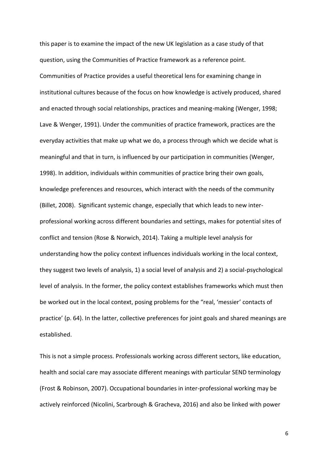this paper is to examine the impact of the new UK legislation as a case study of that question, using the Communities of Practice framework as a reference point. Communities of Practice provides a useful theoretical lens for examining change in institutional cultures because of the focus on how knowledge is actively produced, shared and enacted through social relationships, practices and meaning-making (Wenger, 1998; Lave & Wenger, 1991). Under the communities of practice framework, practices are the everyday activities that make up what we do, a process through which we decide what is meaningful and that in turn, is influenced by our participation in communities (Wenger, 1998). In addition, individuals within communities of practice bring their own goals, knowledge preferences and resources, which interact with the needs of the community (Billet, 2008). Significant systemic change, especially that which leads to new interprofessional working across different boundaries and settings, makes for potential sites of conflict and tension (Rose & Norwich, 2014). Taking a multiple level analysis for understanding how the policy context influences individuals working in the local context, they suggest two levels of analysis, 1) a social level of analysis and 2) a social-psychological level of analysis. In the former, the policy context establishes frameworks which must then be worked out in the local context, posing problems for the "real, 'messier' contacts of practice' (p. 64). In the latter, collective preferences for joint goals and shared meanings are established.

This is not a simple process. Professionals working across different sectors, like education, health and social care may associate different meanings with particular SEND terminology (Frost & Robinson, 2007). Occupational boundaries in inter-professional working may be actively reinforced (Nicolini, Scarbrough & Gracheva, 2016) and also be linked with power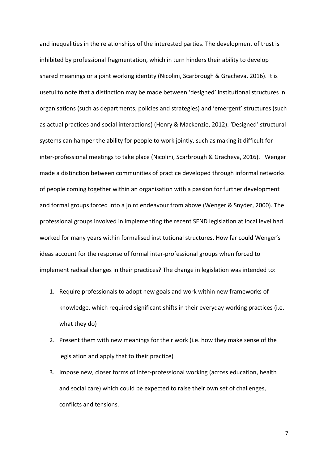and inequalities in the relationships of the interested parties. The development of trust is inhibited by professional fragmentation, which in turn hinders their ability to develop shared meanings or a joint working identity (Nicolini, Scarbrough & Gracheva, 2016). It is useful to note that a distinction may be made between 'designed' institutional structures in organisations (such as departments, policies and strategies) and 'emergent' structures (such as actual practices and social interactions) (Henry & Mackenzie, 2012). 'Designed' structural systems can hamper the ability for people to work jointly, such as making it difficult for inter-professional meetings to take place (Nicolini, Scarbrough & Gracheva, 2016). Wenger made a distinction between communities of practice developed through informal networks of people coming together within an organisation with a passion for further development and formal groups forced into a joint endeavour from above (Wenger & Snyder, 2000). The professional groups involved in implementing the recent SEND legislation at local level had worked for many years within formalised institutional structures. How far could Wenger's ideas account for the response of formal inter-professional groups when forced to implement radical changes in their practices? The change in legislation was intended to:

- 1. Require professionals to adopt new goals and work within new frameworks of knowledge, which required significant shifts in their everyday working practices (i.e. what they do)
- 2. Present them with new meanings for their work (i.e. how they make sense of the legislation and apply that to their practice)
- 3. Impose new, closer forms of inter-professional working (across education, health and social care) which could be expected to raise their own set of challenges, conflicts and tensions.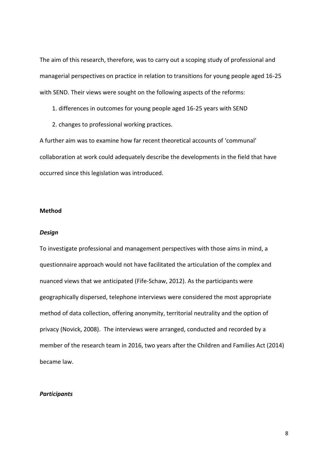The aim of this research, therefore, was to carry out a scoping study of professional and managerial perspectives on practice in relation to transitions for young people aged 16-25 with SEND. Their views were sought on the following aspects of the reforms:

- 1. differences in outcomes for young people aged 16-25 years with SEND
- 2. changes to professional working practices.

A further aim was to examine how far recent theoretical accounts of 'communal' collaboration at work could adequately describe the developments in the field that have occurred since this legislation was introduced.

#### **Method**

#### *Design*

To investigate professional and management perspectives with those aims in mind, a questionnaire approach would not have facilitated the articulation of the complex and nuanced views that we anticipated (Fife-Schaw, 2012). As the participants were geographically dispersed, telephone interviews were considered the most appropriate method of data collection, offering anonymity, territorial neutrality and the option of privacy (Novick, 2008). The interviews were arranged, conducted and recorded by a member of the research team in 2016, two years after the Children and Families Act (2014) became law.

#### *Participants*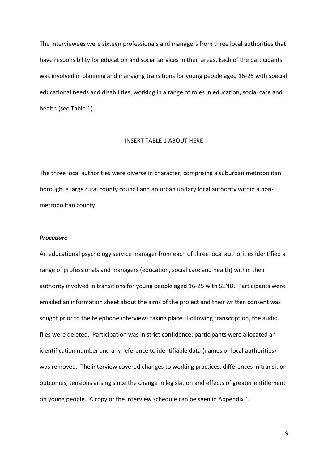The interviewees were sixteen professionals and managers from three local authorities that have responsibility for education and social services in their areas. Each of the participants was involved in planning and managing transitions for young people aged 16-25 with special educational needs and disabilities, working in a range of roles in education, social care and health (see Table 1).

#### INSERT TABLE 1 ABOUT HERE

The three local authorities were diverse in character, comprising a suburban metropolitan borough, a large rural county council and an urban unitary local authority within a nonmetropolitan county.

#### *Procedure*

An educational psychology service manager from each of three local authorities identified a range of professionals and managers (education, social care and health) within their authority involved in transitions for young people aged 16-25 with SEND. Participants were emailed an information sheet about the aims of the project and their written consent was sought prior to the telephone interviews taking place. Following transcription, the audio files were deleted. Participation was in strict confidence: participants were allocated an identification number and any reference to identifiable data (names or local authorities) was removed. The interview covered changes to working practices, differences in transition outcomes, tensions arising since the change in legislation and effects of greater entitlement on young people. A copy of the interview schedule can be seen in Appendix 1.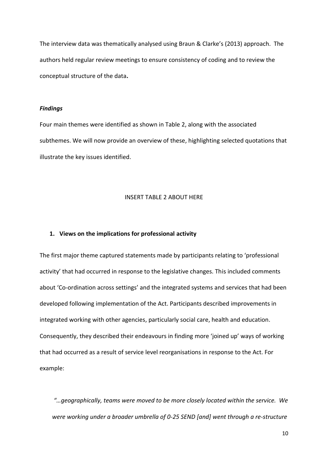The interview data was thematically analysed using Braun & Clarke's (2013) approach. The authors held regular review meetings to ensure consistency of coding and to review the conceptual structure of the data**.**

#### *Findings*

Four main themes were identified as shown in Table 2, along with the associated subthemes. We will now provide an overview of these, highlighting selected quotations that illustrate the key issues identified.

# INSERT TABLE 2 ABOUT HERE

#### **1. Views on the implications for professional activity**

The first major theme captured statements made by participants relating to 'professional activity' that had occurred in response to the legislative changes. This included comments about 'Co-ordination across settings' and the integrated systems and services that had been developed following implementation of the Act. Participants described improvements in integrated working with other agencies, particularly social care, health and education. Consequently, they described their endeavours in finding more 'joined up' ways of working that had occurred as a result of service level reorganisations in response to the Act. For example:

*"…geographically, teams were moved to be more closely located within the service. We were working under a broader umbrella of 0-25 SEND [and] went through a re-structure*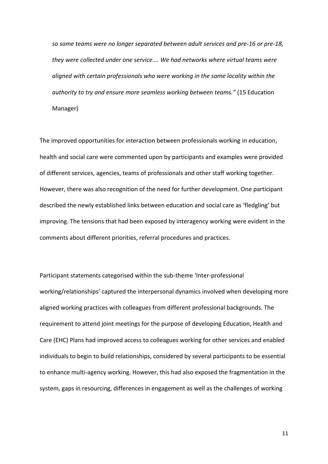*so some teams were no longer separated between adult services and pre-16 or pre-18, they were collected under one service…. We had networks where virtual teams were aligned with certain professionals who were working in the same locality within the authority to try and ensure more seamless working between teams."* (15 Education Manager)

The improved opportunities for interaction between professionals working in education, health and social care were commented upon by participants and examples were provided of different services, agencies, teams of professionals and other staff working together. However, there was also recognition of the need for further development. One participant described the newly established links between education and social care as 'fledgling' but improving. The tensions that had been exposed by interagency working were evident in the comments about different priorities, referral procedures and practices.

Participant statements categorised within the sub-theme 'Inter-professional working/relationships' captured the interpersonal dynamics involved when developing more aligned working practices with colleagues from different professional backgrounds. The requirement to attend joint meetings for the purpose of developing Education, Health and Care (EHC) Plans had improved access to colleagues working for other services and enabled individuals to begin to build relationships, considered by several participants to be essential to enhance multi-agency working. However, this had also exposed the fragmentation in the system, gaps in resourcing, differences in engagement as well as the challenges of working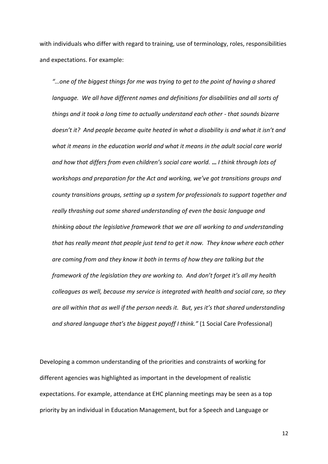with individuals who differ with regard to training, use of terminology, roles, responsibilities and expectations. For example:

*"…one of the biggest things for me was trying to get to the point of having a shared language. We all have different names and definitions for disabilities and all sorts of things and it took a long time to actually understand each other - that sounds bizarre doesn't it? And people became quite heated in what a disability is and what it isn't and what it means in the education world and what it means in the adult social care world and how that differs from even children's social care world.* **…** *I think through lots of workshops and preparation for the Act and working, we've got transitions groups and county transitions groups, setting up a system for professionals to support together and really thrashing out some shared understanding of even the basic language and thinking about the legislative framework that we are all working to and understanding that has really meant that people just tend to get it now. They know where each other are coming from and they know it both in terms of how they are talking but the framework of the legislation they are working to. And don't forget it's all my health colleagues as well, because my service is integrated with health and social care, so they are all within that as well if the person needs it. But, yes it's that shared understanding and shared language that's the biggest payoff I think."* (1 Social Care Professional)

Developing a common understanding of the priorities and constraints of working for different agencies was highlighted as important in the development of realistic expectations. For example, attendance at EHC planning meetings may be seen as a top priority by an individual in Education Management, but for a Speech and Language or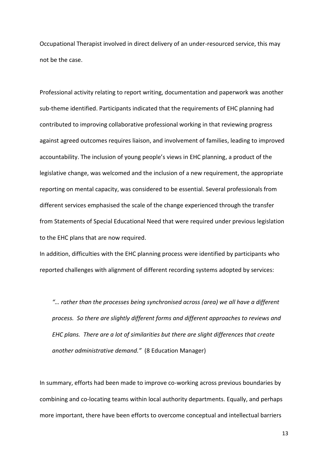Occupational Therapist involved in direct delivery of an under-resourced service, this may not be the case.

Professional activity relating to report writing, documentation and paperwork was another sub-theme identified. Participants indicated that the requirements of EHC planning had contributed to improving collaborative professional working in that reviewing progress against agreed outcomes requires liaison, and involvement of families, leading to improved accountability. The inclusion of young people's views in EHC planning, a product of the legislative change, was welcomed and the inclusion of a new requirement, the appropriate reporting on mental capacity, was considered to be essential. Several professionals from different services emphasised the scale of the change experienced through the transfer from Statements of Special Educational Need that were required under previous legislation to the EHC plans that are now required.

In addition, difficulties with the EHC planning process were identified by participants who reported challenges with alignment of different recording systems adopted by services:

*"… rather than the processes being synchronised across (area) we all have a different process. So there are slightly different forms and different approaches to reviews and EHC plans. There are a lot of similarities but there are slight differences that create another administrative demand."* (8 Education Manager)

In summary, efforts had been made to improve co-working across previous boundaries by combining and co-locating teams within local authority departments. Equally, and perhaps more important, there have been efforts to overcome conceptual and intellectual barriers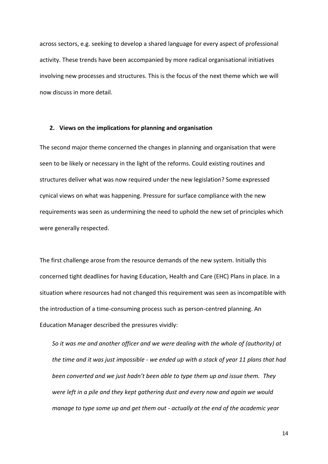across sectors, e.g. seeking to develop a shared language for every aspect of professional activity. These trends have been accompanied by more radical organisational initiatives involving new processes and structures. This is the focus of the next theme which we will now discuss in more detail.

#### **2. Views on the implications for planning and organisation**

The second major theme concerned the changes in planning and organisation that were seen to be likely or necessary in the light of the reforms. Could existing routines and structures deliver what was now required under the new legislation? Some expressed cynical views on what was happening. Pressure for surface compliance with the new requirements was seen as undermining the need to uphold the new set of principles which were generally respected.

The first challenge arose from the resource demands of the new system. Initially this concerned tight deadlines for having Education, Health and Care (EHC) Plans in place. In a situation where resources had not changed this requirement was seen as incompatible with the introduction of a time-consuming process such as person-centred planning. An Education Manager described the pressures vividly:

*So it was me and another officer and we were dealing with the whole of (authority) at the time and it was just impossible - we ended up with a stack of year 11 plans that had been converted and we just hadn't been able to type them up and issue them. They were left in a pile and they kept gathering dust and every now and again we would manage to type some up and get them out - actually at the end of the academic year*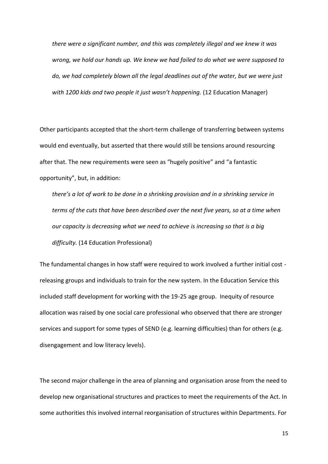*there were a significant number, and this was completely illegal and we knew it was wrong, we hold our hands up. We knew we had failed to do what we were supposed to do, we had completely blown all the legal deadlines out of the water, but we were just*  with 1200 kids and two people it just wasn't happening. (12 Education Manager)

Other participants accepted that the short-term challenge of transferring between systems would end eventually, but asserted that there would still be tensions around resourcing after that. The new requirements were seen as "hugely positive" and "a fantastic opportunity", but, in addition:

*there's a lot of work to be done in a shrinking provision and in a shrinking service in terms of the cuts that have been described over the next five years, so at a time when our capacity is decreasing what we need to achieve is increasing so that is a big difficulty.* (14 Education Professional)

The fundamental changes in how staff were required to work involved a further initial cost releasing groups and individuals to train for the new system. In the Education Service this included staff development for working with the 19-25 age group. Inequity of resource allocation was raised by one social care professional who observed that there are stronger services and support for some types of SEND (e.g. learning difficulties) than for others (e.g. disengagement and low literacy levels).

The second major challenge in the area of planning and organisation arose from the need to develop new organisational structures and practices to meet the requirements of the Act. In some authorities this involved internal reorganisation of structures within Departments. For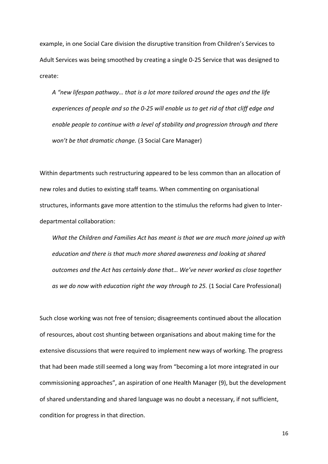example, in one Social Care division the disruptive transition from Children's Services to Adult Services was being smoothed by creating a single 0-25 Service that was designed to create:

*A "new lifespan pathway… that is a lot more tailored around the ages and the life experiences of people and so the 0-25 will enable us to get rid of that cliff edge and enable people to continue with a level of stability and progression through and there won't be that dramatic change.* (3 Social Care Manager)

Within departments such restructuring appeared to be less common than an allocation of new roles and duties to existing staff teams. When commenting on organisational structures, informants gave more attention to the stimulus the reforms had given to Interdepartmental collaboration:

*What the Children and Families Act has meant is that we are much more joined up with education and there is that much more shared awareness and looking at shared outcomes and the Act has certainly done that… We've never worked as close together as we do now with education right the way through to 25.* (1 Social Care Professional)

Such close working was not free of tension; disagreements continued about the allocation of resources, about cost shunting between organisations and about making time for the extensive discussions that were required to implement new ways of working. The progress that had been made still seemed a long way from "becoming a lot more integrated in our commissioning approaches", an aspiration of one Health Manager (9), but the development of shared understanding and shared language was no doubt a necessary, if not sufficient, condition for progress in that direction.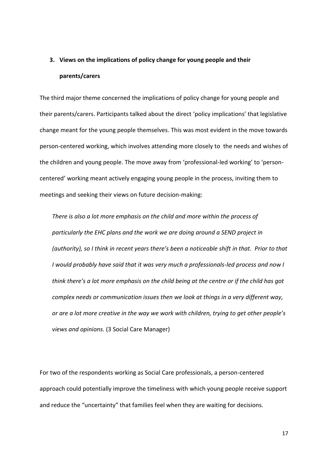# **3. Views on the implications of policy change for young people and their parents/carers**

The third major theme concerned the implications of policy change for young people and their parents/carers. Participants talked about the direct 'policy implications' that legislative change meant for the young people themselves. This was most evident in the move towards person-centered working, which involves attending more closely to the needs and wishes of the children and young people. The move away from 'professional-led working' to 'personcentered' working meant actively engaging young people in the process, inviting them to meetings and seeking their views on future decision-making:

*There is also a lot more emphasis on the child and more within the process of particularly the EHC plans and the work we are doing around a SEND project in (authority), so I think in recent years there's been a noticeable shift in that. Prior to that I would probably have said that it was very much a professionals-led process and now I think there's a lot more emphasis on the child being at the centre or if the child has got complex needs or communication issues then we look at things in a very different way, or are a lot more creative in the way we work with children, trying to get other people's views and opinions.* (3 Social Care Manager)

For two of the respondents working as Social Care professionals, a person-centered approach could potentially improve the timeliness with which young people receive support and reduce the "uncertainty" that families feel when they are waiting for decisions.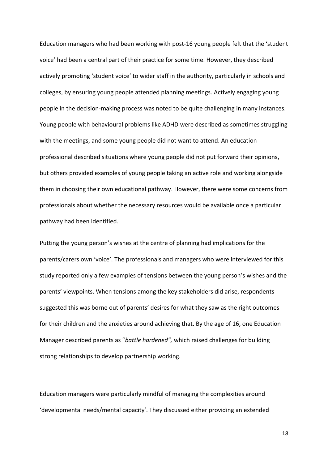Education managers who had been working with post-16 young people felt that the 'student voice' had been a central part of their practice for some time. However, they described actively promoting 'student voice' to wider staff in the authority, particularly in schools and colleges, by ensuring young people attended planning meetings. Actively engaging young people in the decision-making process was noted to be quite challenging in many instances. Young people with behavioural problems like ADHD were described as sometimes struggling with the meetings, and some young people did not want to attend. An education professional described situations where young people did not put forward their opinions, but others provided examples of young people taking an active role and working alongside them in choosing their own educational pathway. However, there were some concerns from professionals about whether the necessary resources would be available once a particular pathway had been identified.

Putting the young person's wishes at the centre of planning had implications for the parents/carers own 'voice'. The professionals and managers who were interviewed for this study reported only a few examples of tensions between the young person's wishes and the parents' viewpoints. When tensions among the key stakeholders did arise, respondents suggested this was borne out of parents' desires for what they saw as the right outcomes for their children and the anxieties around achieving that. By the age of 16, one Education Manager described parents as "*battle hardened",* which raised challenges for building strong relationships to develop partnership working.

Education managers were particularly mindful of managing the complexities around 'developmental needs/mental capacity'. They discussed either providing an extended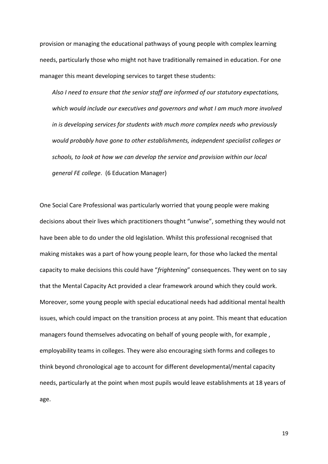provision or managing the educational pathways of young people with complex learning needs, particularly those who might not have traditionally remained in education. For one manager this meant developing services to target these students:

*Also I need to ensure that the senior staff are informed of our statutory expectations, which would include our executives and governors and what I am much more involved in is developing services for students with much more complex needs who previously would probably have gone to other establishments, independent specialist colleges or schools, to look at how we can develop the service and provision within our local general FE college*. (6 Education Manager)

One Social Care Professional was particularly worried that young people were making decisions about their lives which practitioners thought "unwise", something they would not have been able to do under the old legislation. Whilst this professional recognised that making mistakes was a part of how young people learn, for those who lacked the mental capacity to make decisions this could have "*frightening*" consequences. They went on to say that the Mental Capacity Act provided a clear framework around which they could work. Moreover, some young people with special educational needs had additional mental health issues, which could impact on the transition process at any point. This meant that education managers found themselves advocating on behalf of young people with, for example , employability teams in colleges. They were also encouraging sixth forms and colleges to think beyond chronological age to account for different developmental/mental capacity needs, particularly at the point when most pupils would leave establishments at 18 years of age.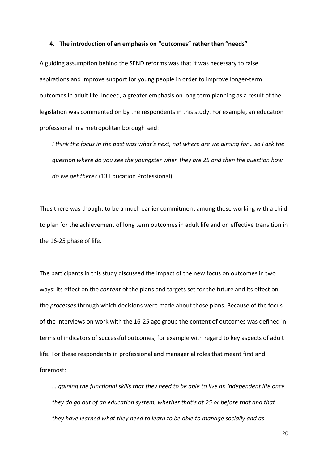#### **4. The introduction of an emphasis on "outcomes" rather than "needs"**

A guiding assumption behind the SEND reforms was that it was necessary to raise aspirations and improve support for young people in order to improve longer-term outcomes in adult life. Indeed, a greater emphasis on long term planning as a result of the legislation was commented on by the respondents in this study. For example, an education professional in a metropolitan borough said:

*I think the focus in the past was what's next, not where are we aiming for… so I ask the question where do you see the youngster when they are 25 and then the question how do we get there?* (13 Education Professional)

Thus there was thought to be a much earlier commitment among those working with a child to plan for the achievement of long term outcomes in adult life and on effective transition in the 16-25 phase of life.

The participants in this study discussed the impact of the new focus on outcomes in two ways: its effect on the *content* of the plans and targets set for the future and its effect on the *processes* through which decisions were made about those plans. Because of the focus of the interviews on work with the 16-25 age group the content of outcomes was defined in terms of indicators of successful outcomes, for example with regard to key aspects of adult life. For these respondents in professional and managerial roles that meant first and foremost:

*… gaining the functional skills that they need to be able to live an independent life once they do go out of an education system, whether that's at 25 or before that and that they have learned what they need to learn to be able to manage socially and as*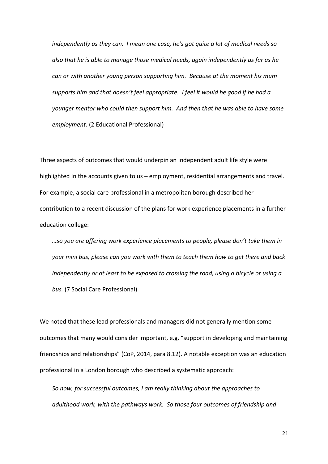*independently as they can. I mean one case, he's got quite a lot of medical needs so also that he is able to manage those medical needs, again independently as far as he can or with another young person supporting him. Because at the moment his mum supports him and that doesn't feel appropriate. I feel it would be good if he had a younger mentor who could then support him. And then that he was able to have some employment.* (2 Educational Professional)

Three aspects of outcomes that would underpin an independent adult life style were highlighted in the accounts given to us – employment, residential arrangements and travel. For example, a social care professional in a metropolitan borough described her contribution to a recent discussion of the plans for work experience placements in a further education college:

*…so you are offering work experience placements to people, please don't take them in your mini bus, please can you work with them to teach them how to get there and back independently or at least to be exposed to crossing the road, using a bicycle or using a bus.* (7 Social Care Professional)

We noted that these lead professionals and managers did not generally mention some outcomes that many would consider important, e.g. "support in developing and maintaining friendships and relationships" (CoP, 2014, para 8.12). A notable exception was an education professional in a London borough who described a systematic approach:

*So now, for successful outcomes, I am really thinking about the approaches to adulthood work, with the pathways work. So those four outcomes of friendship and*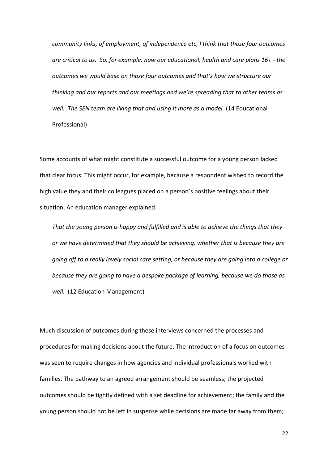*community links, of employment, of independence etc, I think that those four outcomes are critical to us. So, for example, now our educational, health and care plans 16+ - the outcomes we would base on those four outcomes and that's how we structure our thinking and our reports and our meetings and we're spreading that to other teams as well. The SEN team are liking that and using it more as a model.* (14 Educational Professional)

Some accounts of what might constitute a successful outcome for a young person lacked that clear focus. This might occur, for example, because a respondent wished to record the high value they and their colleagues placed on a person's positive feelings about their situation. An education manager explained:

*That the young person is happy and fulfilled and is able to achieve the things that they or we have determined that they should be achieving, whether that is because they are going off to a really lovely social care setting, or because they are going into a college or because they are going to have a bespoke package of learning, because we do those as well.* (12 Education Management)

Much discussion of outcomes during these interviews concerned the processes and procedures for making decisions about the future. The introduction of a focus on outcomes was seen to require changes in how agencies and individual professionals worked with families. The pathway to an agreed arrangement should be seamless; the projected outcomes should be tightly defined with a set deadline for achievement; the family and the young person should not be left in suspense while decisions are made far away from them;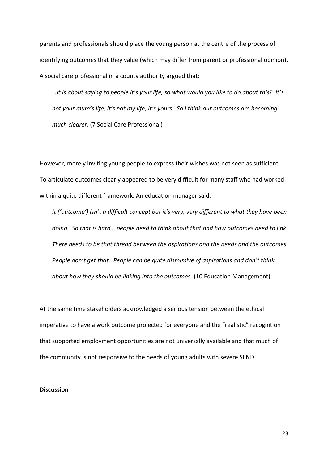parents and professionals should place the young person at the centre of the process of identifying outcomes that they value (which may differ from parent or professional opinion). A social care professional in a county authority argued that:

*…it is about saying to people it's your life, so what would you like to do about this? It's not your mum's life, it's not my life, it's yours. So I think our outcomes are becoming much clearer.* (7 Social Care Professional)

However, merely inviting young people to express their wishes was not seen as sufficient. To articulate outcomes clearly appeared to be very difficult for many staff who had worked within a quite different framework. An education manager said:

*It ('outcome') isn't a difficult concept but it's very, very different to what they have been doing. So that is hard… people need to think about that and how outcomes need to link. There needs to be that thread between the aspirations and the needs and the outcomes. People don't get that. People can be quite dismissive of aspirations and don't think about how they should be linking into the outcomes.* (10 Education Management)

At the same time stakeholders acknowledged a serious tension between the ethical imperative to have a work outcome projected for everyone and the "realistic" recognition that supported employment opportunities are not universally available and that much of the community is not responsive to the needs of young adults with severe SEND.

#### **Discussion**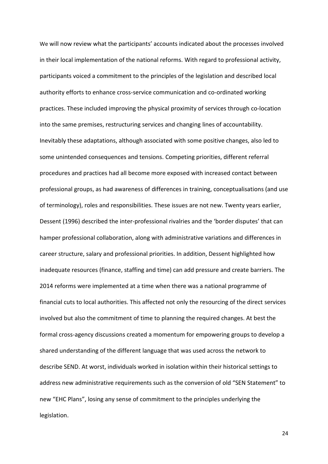We will now review what the participants' accounts indicated about the processes involved in their local implementation of the national reforms. With regard to professional activity, participants voiced a commitment to the principles of the legislation and described local authority efforts to enhance cross-service communication and co-ordinated working practices. These included improving the physical proximity of services through co-location into the same premises, restructuring services and changing lines of accountability. Inevitably these adaptations, although associated with some positive changes, also led to some unintended consequences and tensions. Competing priorities, different referral procedures and practices had all become more exposed with increased contact between professional groups, as had awareness of differences in training, conceptualisations (and use of terminology), roles and responsibilities. These issues are not new. Twenty years earlier, Dessent (1996) described the inter-professional rivalries and the 'border disputes' that can hamper professional collaboration, along with administrative variations and differences in career structure, salary and professional priorities. In addition, Dessent highlighted how inadequate resources (finance, staffing and time) can add pressure and create barriers. The 2014 reforms were implemented at a time when there was a national programme of financial cuts to local authorities. This affected not only the resourcing of the direct services involved but also the commitment of time to planning the required changes. At best the formal cross-agency discussions created a momentum for empowering groups to develop a shared understanding of the different language that was used across the network to describe SEND. At worst, individuals worked in isolation within their historical settings to address new administrative requirements such as the conversion of old "SEN Statement" to new "EHC Plans", losing any sense of commitment to the principles underlying the legislation.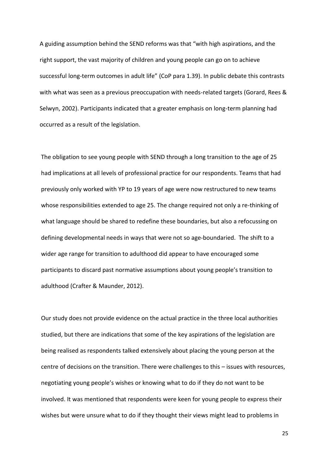A guiding assumption behind the SEND reforms was that "with high aspirations, and the right support, the vast majority of children and young people can go on to achieve successful long-term outcomes in adult life" (CoP para 1.39). In public debate this contrasts with what was seen as a previous preoccupation with needs-related targets (Gorard, Rees & Selwyn, 2002). Participants indicated that a greater emphasis on long-term planning had occurred as a result of the legislation.

The obligation to see young people with SEND through a long transition to the age of 25 had implications at all levels of professional practice for our respondents. Teams that had previously only worked with YP to 19 years of age were now restructured to new teams whose responsibilities extended to age 25. The change required not only a re-thinking of what language should be shared to redefine these boundaries, but also a refocussing on defining developmental needs in ways that were not so age-boundaried. The shift to a wider age range for transition to adulthood did appear to have encouraged some participants to discard past normative assumptions about young people's transition to adulthood (Crafter & Maunder, 2012).

Our study does not provide evidence on the actual practice in the three local authorities studied, but there are indications that some of the key aspirations of the legislation are being realised as respondents talked extensively about placing the young person at the centre of decisions on the transition. There were challenges to this – issues with resources, negotiating young people's wishes or knowing what to do if they do not want to be involved. It was mentioned that respondents were keen for young people to express their wishes but were unsure what to do if they thought their views might lead to problems in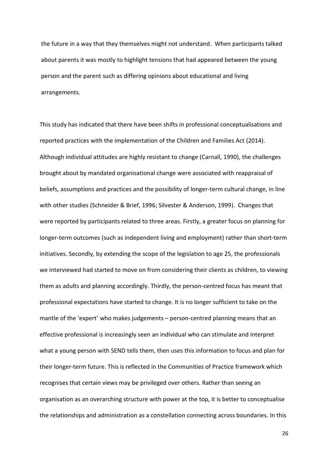the future in a way that they themselves might not understand. When participants talked about parents it was mostly to highlight tensions that had appeared between the young person and the parent such as differing opinions about educational and living arrangements.

This study has indicated that there have been shifts in professional conceptualisations and reported practices with the implementation of the Children and Families Act (2014). Although individual attitudes are highly resistant to change (Carnall, 1990), the challenges brought about by mandated organisational change were associated with reappraisal of beliefs, assumptions and practices and the possibility of longer-term cultural change, in line with other studies (Schneider & Brief, 1996; Silvester & Anderson, 1999). Changes that were reported by participants related to three areas. Firstly, a greater focus on planning for longer-term outcomes (such as independent living and employment) rather than short-term initiatives. Secondly, by extending the scope of the legislation to age 25, the professionals we interviewed had started to move on from considering their clients as children, to viewing them as adults and planning accordingly. Thirdly, the person-centred focus has meant that professional expectations have started to change. It is no longer sufficient to take on the mantle of the 'expert' who makes judgements – person-centred planning means that an effective professional is increasingly seen an individual who can stimulate and interpret what a young person with SEND tells them, then uses this information to focus and plan for their longer-term future. This is reflected in the Communities of Practice framework which recognises that certain views may be privileged over others. Rather than seeing an organisation as an overarching structure with power at the top, it is better to conceptualise the relationships and administration as a constellation connecting across boundaries. In this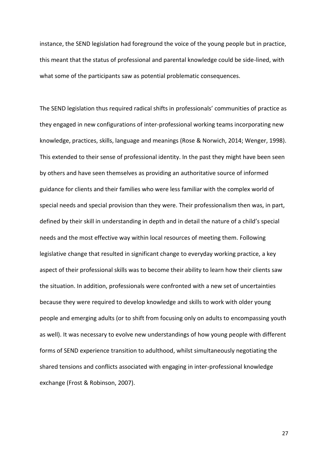instance, the SEND legislation had foreground the voice of the young people but in practice, this meant that the status of professional and parental knowledge could be side-lined, with what some of the participants saw as potential problematic consequences.

The SEND legislation thus required radical shifts in professionals' communities of practice as they engaged in new configurations of inter-professional working teams incorporating new knowledge, practices, skills, language and meanings (Rose & Norwich, 2014; Wenger, 1998). This extended to their sense of professional identity. In the past they might have been seen by others and have seen themselves as providing an authoritative source of informed guidance for clients and their families who were less familiar with the complex world of special needs and special provision than they were. Their professionalism then was, in part, defined by their skill in understanding in depth and in detail the nature of a child's special needs and the most effective way within local resources of meeting them. Following legislative change that resulted in significant change to everyday working practice, a key aspect of their professional skills was to become their ability to learn how their clients saw the situation. In addition, professionals were confronted with a new set of uncertainties because they were required to develop knowledge and skills to work with older young people and emerging adults (or to shift from focusing only on adults to encompassing youth as well). It was necessary to evolve new understandings of how young people with different forms of SEND experience transition to adulthood, whilst simultaneously negotiating the shared tensions and conflicts associated with engaging in inter-professional knowledge exchange (Frost & Robinson, 2007).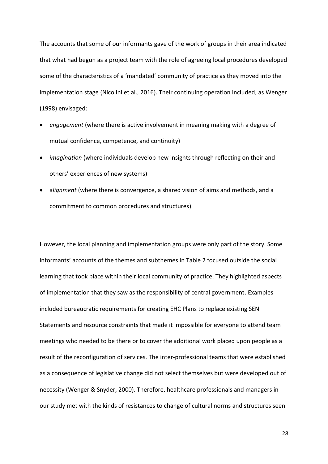The accounts that some of our informants gave of the work of groups in their area indicated that what had begun as a project team with the role of agreeing local procedures developed some of the characteristics of a 'mandated' community of practice as they moved into the implementation stage (Nicolini et al., 2016). Their continuing operation included, as Wenger (1998) envisaged:

- *engagement* (where there is active involvement in meaning making with a degree of mutual confidence, competence, and continuity)
- *imagination* (where individuals develop new insights through reflecting on their and others' experiences of new systems)
- a*lignment* (where there is convergence, a shared vision of aims and methods, and a commitment to common procedures and structures).

However, the local planning and implementation groups were only part of the story. Some informants' accounts of the themes and subthemes in Table 2 focused outside the social learning that took place within their local community of practice. They highlighted aspects of implementation that they saw as the responsibility of central government. Examples included bureaucratic requirements for creating EHC Plans to replace existing SEN Statements and resource constraints that made it impossible for everyone to attend team meetings who needed to be there or to cover the additional work placed upon people as a result of the reconfiguration of services. The inter-professional teams that were established as a consequence of legislative change did not select themselves but were developed out of necessity (Wenger & Snyder, 2000). Therefore, healthcare professionals and managers in our study met with the kinds of resistances to change of cultural norms and structures seen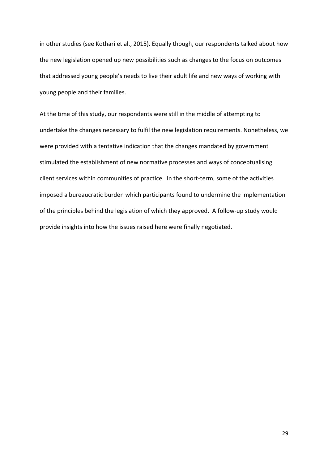in other studies (see Kothari et al., 2015). Equally though, our respondents talked about how the new legislation opened up new possibilities such as changes to the focus on outcomes that addressed young people's needs to live their adult life and new ways of working with young people and their families.

At the time of this study, our respondents were still in the middle of attempting to undertake the changes necessary to fulfil the new legislation requirements. Nonetheless, we were provided with a tentative indication that the changes mandated by government stimulated the establishment of new normative processes and ways of conceptualising client services within communities of practice. In the short-term, some of the activities imposed a bureaucratic burden which participants found to undermine the implementation of the principles behind the legislation of which they approved. A follow-up study would provide insights into how the issues raised here were finally negotiated.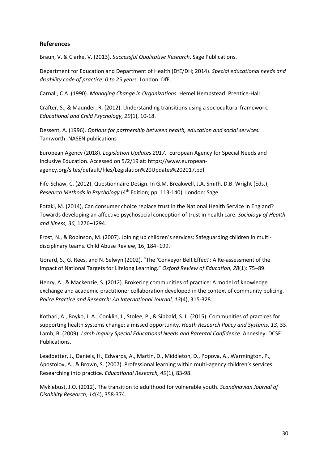## **References**

Braun, V. & Clarke, V. (2013). *Successful Qualitative Research*, Sage Publications.

Department for Education and Department of Health (DfE/DH; 2014). *Special educational needs and disability code of practice: 0 to 25 years.* London: DfE.

Carnall, C.A. (1990). *Managing Change in Organizations*. Hemel Hempstead: Prentice-Hall

Crafter, S., & Maunder, R. (2012). Understanding transitions using a sociocultural framework. *Educational and Child Psychology, 29*(1), 10-18.

Dessent, A. (1996). *Options for partnership between health, education and social services.* Tamworth: NASEN publications

European Agency (2018). *Legislation Updates 2017*. European Agency for Special Needs and Inclusive Education. Accessed on 5/2/19 at: https://www.europeanagency.org/sites/default/files/Legislation%20Updates%202017.pdf

Fife-Schaw, C. (2012). Questionnaire Design. In G.M. Breakwell, J.A. Smith, D.B. Wright (Eds.), *Research Methods in Psychology* (4<sup>th</sup> Edition; pp. 113-140). London: Sage.

Fotaki, M. (2014), Can consumer choice replace trust in the National Health Service in England? Towards developing an affective psychosocial conception of trust in health care. *Sociology of Health and Illness, 36,* 1276–1294.

Frost, N., & Robinson, M. (2007). Joining up children's services: Safeguarding children in multidisciplinary teams. Child Abuse Review, 16, 184–199.

Gorard, S., G. Rees, and N. Selwyn (2002). "The 'Conveyor Belt Effect': A Re-assessment of the Impact of National Targets for Lifelong Learning." *Oxford Review of Education, 28*(1): 75–89.

Henry, A., & Mackenzie, S. (2012). Brokering communities of practice: A model of knowledge exchange and academic-practitioner collaboration developed in the context of community policing. *Police Practice and Research: An International Journal, 13*(4), 315-328.

Kothari, A., Boyko, J. A., Conklin, J., Stolee, P., & Sibbald, S. L. (2015). Communities of practices for supporting health systems change: a missed opportunity. *Heath Research Policy and Systems, 13*, 33. Lamb, B. (2009). *Lamb Inquiry Special Educational Needs and Parental Confidence*. Annesley: DCSF Publications.

Leadbetter, J., Daniels, H., Edwards, A., Martin, D., Middleton, D., Popova, A., Warmington, P., Apostolov, A., & Brown, S. (2007). Professional learning within multi-agency children's services: Researching into practice. *Educational Research, 49*(1), 83-98.

Myklebust, J.O. (2012). The transition to adulthood for vulnerable youth. *Scandinavian Journal of Disability Research, 14*(4), 358-374.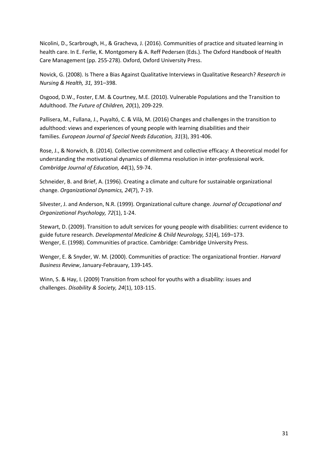Nicolini, D., Scarbrough, H., & Gracheva, J. (2016). Communities of practice and situated learning in health care. In E. Ferlie, K. Montgomery & A. Reff Pedersen (Eds.). The Oxford Handbook of Health Care Management (pp. 255-278). Oxford, Oxford University Press.

Novick, G. (2008). Is There a Bias Against Qualitative Interviews in Qualitative Research? *Research in Nursing & Health, 31,* 391–398.

Osgood, D.W., Foster, E.M. & Courtney, M.E. (2010). Vulnerable Populations and the Transition to Adulthood. *The Future of Children, 20*(1), 209-229.

Pallisera, M., Fullana, J., Puyaltó, C. & Vilà, M. (2016) Changes and challenges in the transition to adulthood: views and experiences of young people with learning disabilities and their families. *European Journal of Special Needs Education, 31*(3), 391-406.

Rose, J., & Norwich, B. (2014). Collective commitment and collective efficacy: A theoretical model for understanding the motivational dynamics of dilemma resolution in inter-professional work. *Cambridge Journal of Education, 44*(1), 59-74.

Schneider, B. and Brief, A. (1996). Creating a climate and culture for sustainable organizational change. *Organizational Dynamics, 24*(7), 7-19.

Silvester, J. and Anderson, N.R. (1999). Organizational culture change. *Journal of Occupational and Organizational Psychology, 72*(1), 1-24.

Stewart, D. (2009). Transition to adult services for young people with disabilities: current evidence to guide future research. *Developmental Medicine & Child Neurology, 51*(4), 169–173. Wenger, E. (1998). Communities of practice. Cambridge: Cambridge University Press.

Wenger, E. & Snyder, W. M. (2000). Communities of practice: The organizational frontier. *Harvard Business Review*, January-Febrauary, 139-145.

Winn, S. & Hay, I. (2009) Transition from school for youths with a disability: issues and challenges. *Disability & Society, 24*(1), 103-115.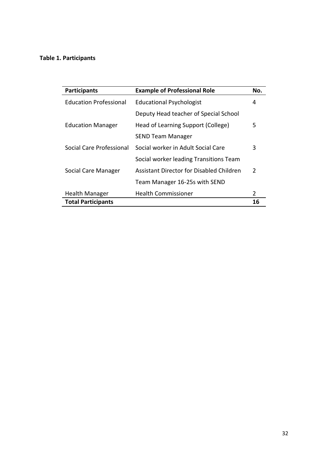# **Table 1. Participants**

| <b>Participants</b>           | <b>Example of Professional Role</b>      |               |
|-------------------------------|------------------------------------------|---------------|
| <b>Education Professional</b> | <b>Educational Psychologist</b>          |               |
|                               | Deputy Head teacher of Special School    |               |
| <b>Education Manager</b>      | Head of Learning Support (College)       | 5             |
|                               | SEND Team Manager                        |               |
| Social Care Professional      | Social worker in Adult Social Care       |               |
|                               | Social worker leading Transitions Team   |               |
| Social Care Manager           | Assistant Director for Disabled Children | $\mathcal{P}$ |
|                               | Team Manager 16-25s with SEND            |               |
| <b>Health Manager</b>         | <b>Health Commissioner</b>               | $\mathcal{P}$ |
| <b>Total Participants</b>     |                                          | 16            |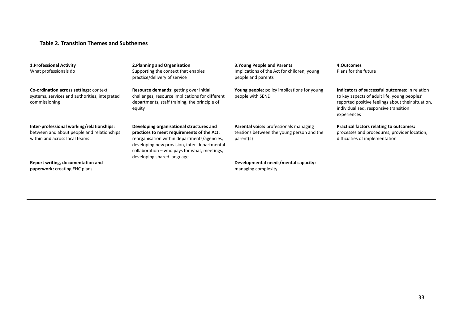## **Table 2. Transition Themes and Subthemes**

| 1. Professional Activity<br>What professionals do                                                                        | 2. Planning and Organisation<br>Supporting the context that enables<br>practice/delivery of service                                                                                                                                                                 | <b>3. Young People and Parents</b><br>Implications of the Act for children, young<br>people and parents | 4.Outcomes<br>Plans for the future                                                                                                                                                                          |
|--------------------------------------------------------------------------------------------------------------------------|---------------------------------------------------------------------------------------------------------------------------------------------------------------------------------------------------------------------------------------------------------------------|---------------------------------------------------------------------------------------------------------|-------------------------------------------------------------------------------------------------------------------------------------------------------------------------------------------------------------|
| Co-ordination across settings: context,<br>systems, services and authorities, integrated<br>commissioning                | Resource demands: getting over initial<br>challenges, resource implications for different<br>departments, staff training, the principle of<br>equity                                                                                                                | <b>Young people:</b> policy implications for young<br>people with SEND                                  | Indicators of successful outcomes: in relation<br>to key aspects of adult life, young peoples'<br>reported positive feelings about their situation,<br>individualised, responsive transition<br>experiences |
| Inter-professional working/relationships:<br>between and about people and relationships<br>within and across local teams | Developing organisational structures and<br>practices to meet requirements of the Act:<br>reorganisation within departments/agencies,<br>developing new provision, inter-departmental<br>collaboration - who pays for what, meetings,<br>developing shared language | <b>Parental voice:</b> professionals managing<br>tensions between the young person and the<br>parent(s) | <b>Practical factors relating to outcomes:</b><br>processes and procedures, provider location,<br>difficulties of implementation                                                                            |
| Report writing, documentation and<br>paperwork: creating EHC plans                                                       |                                                                                                                                                                                                                                                                     | Developmental needs/mental capacity:<br>managing complexity                                             |                                                                                                                                                                                                             |